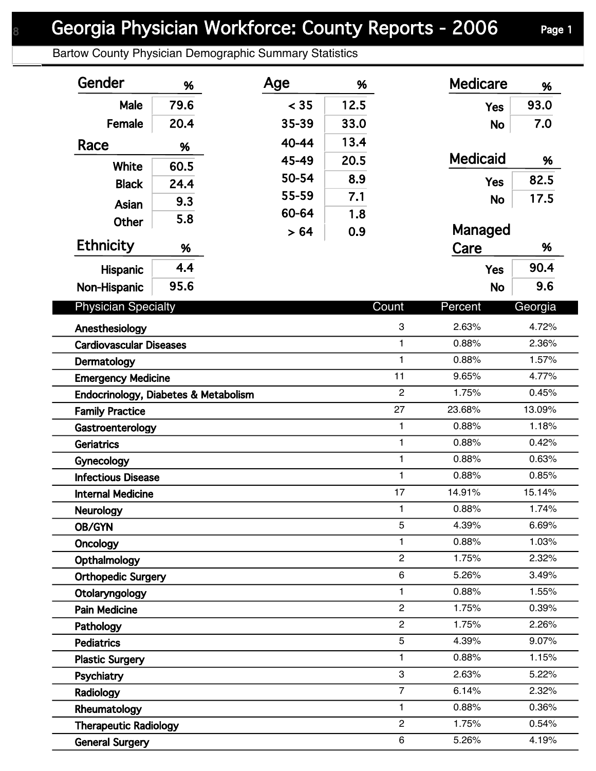## Georgia Physician Workforce: County Reports - 2006 Page 1

Bartow County Physician Demographic Summary Statistics

| Gender                                                            | %    | Age   | %    |                       | <b>Medicare</b> | %              |
|-------------------------------------------------------------------|------|-------|------|-----------------------|-----------------|----------------|
| Male                                                              | 79.6 | < 35  | 12.5 |                       | <b>Yes</b>      | 93.0           |
| Female                                                            | 20.4 | 35-39 | 33.0 |                       | <b>No</b>       | 7.0            |
| Race                                                              | %    | 40-44 | 13.4 |                       |                 |                |
|                                                                   |      | 45-49 | 20.5 |                       | <b>Medicaid</b> | %              |
| <b>White</b>                                                      | 60.5 | 50-54 | 8.9  |                       |                 | 82.5           |
| <b>Black</b>                                                      | 24.4 | 55-59 | 7.1  |                       | <b>Yes</b>      | 17.5           |
| Asian                                                             | 9.3  | 60-64 | 1.8  |                       | <b>No</b>       |                |
| Other                                                             | 5.8  | > 64  | 0.9  |                       | Managed         |                |
| <b>Ethnicity</b>                                                  | %    |       |      |                       | Care            | %              |
| <b>Hispanic</b>                                                   | 4.4  |       |      |                       | <b>Yes</b>      | 90.4           |
| Non-Hispanic                                                      | 95.6 |       |      |                       | <b>No</b>       | 9.6            |
| <b>Physician Specialty</b>                                        |      |       |      | Count                 | Percent         | Georgia        |
|                                                                   |      |       |      |                       |                 |                |
| Anesthesiology                                                    |      |       |      | $\,3$<br>$\mathbf{1}$ | 2.63%<br>0.88%  | 4.72%<br>2.36% |
| <b>Cardiovascular Diseases</b>                                    |      |       |      | $\mathbf{1}$          | 0.88%           | 1.57%          |
| Dermatology                                                       |      |       |      | 11                    | 9.65%           | 4.77%          |
| <b>Emergency Medicine</b><br>Endocrinology, Diabetes & Metabolism |      |       |      | $\overline{2}$        | 1.75%           | 0.45%          |
| <b>Family Practice</b>                                            |      |       |      | 27                    | 23.68%          | 13.09%         |
| Gastroenterology                                                  |      |       |      | $\mathbf{1}$          | 0.88%           | 1.18%          |
| <b>Geriatrics</b>                                                 |      |       |      | $\mathbf{1}$          | 0.88%           | 0.42%          |
| Gynecology                                                        |      |       |      | $\mathbf{1}$          | 0.88%           | 0.63%          |
| <b>Infectious Disease</b>                                         |      |       |      | 1                     | 0.88%           | 0.85%          |
| <b>Internal Medicine</b>                                          |      |       |      | 17                    | 14.91%          | 15.14%         |
| Neurology                                                         |      |       |      | 1                     | 0.88%           | 1.74%          |
| OB/GYN                                                            |      |       |      | 5                     | 4.39%           | 6.69%          |
| Oncology                                                          |      |       |      | 1                     | 0.88%           | 1.03%          |
| Opthalmology                                                      |      |       |      | $\overline{2}$        | 1.75%           | 2.32%          |
| <b>Orthopedic Surgery</b>                                         |      |       |      | 6                     | 5.26%           | 3.49%          |
| Otolaryngology                                                    |      |       |      | 1                     | 0.88%           | 1.55%          |
| <b>Pain Medicine</b>                                              |      |       |      | $\overline{c}$        | 1.75%           | 0.39%          |
| Pathology                                                         |      |       |      | $\mathbf{2}$          | 1.75%           | 2.26%          |
| <b>Pediatrics</b>                                                 |      |       |      | 5                     | 4.39%           | 9.07%          |
| <b>Plastic Surgery</b>                                            |      |       |      | 1                     | 0.88%           | 1.15%          |
| Psychiatry                                                        |      |       |      | 3                     | 2.63%           | 5.22%          |
| Radiology                                                         |      |       |      | $\overline{7}$        | 6.14%           | 2.32%          |
| Rheumatology                                                      |      |       |      | 1                     | 0.88%           | 0.36%          |
| <b>Therapeutic Radiology</b>                                      |      |       |      | $\overline{2}$        | 1.75%           | 0.54%          |
| <b>General Surgery</b>                                            |      |       |      | 6                     | 5.26%           | 4.19%          |